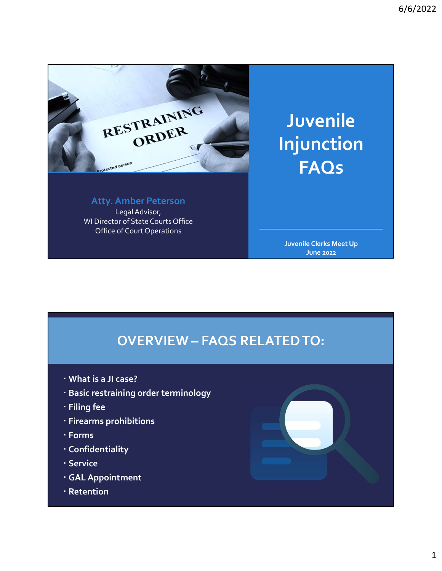

Atty. Amber Peterson Legal Advisor, WI Director of State Courts Office Office of Court Operations COLORATION CONTRACTED TO:<br>
Acty. Amber Peterson<br>
WI Director of State Courts Office<br>
Office of Gout Operations<br>
OVERVIEW – FAQS RELATED TO:<br>
What is a JI case?<br>
Pasic restraining order terminology

Juvenile Injunction **FAQs** 

Juvenile Clerks Meet Up June 2022

 $\mathcal{L}_\mathcal{L}$  , we can assume that the contribution of the contribution of  $\mathcal{L}_\mathcal{L}$ 

- 
- Basic restraining order terminology
- Filing fee
- Firearms prohibitions
- Forms
- Confidentiality
- Service
- GAL Appointment
- Retention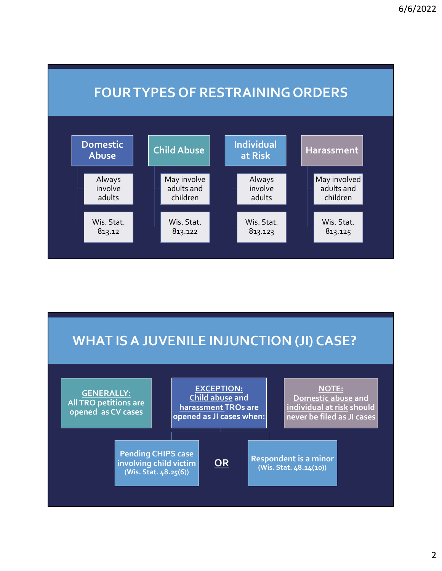

# WHAT IS A JUVENILE INJUNCTION (JI) CASE?

![](_page_1_Figure_3.jpeg)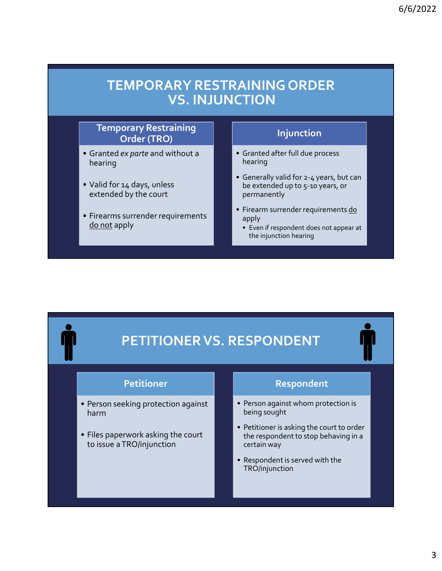# TEMPORARY RESTRAINING ORDE<br>
VS. INJUNCTION<br>
Temporary Restraining<br>
Order (TRO)<br>
• Granted ex parte and without a<br>
• Valid for 14 days, unless<br>
• Valid for 14 days, unless<br>
• Cenerally valid for 2-4 year<br>
extended by the co TEMPORARY RESTRAINING ORDE<br>
VS. INJUNCTION<br>
Temporary Restraining<br>
Order (TRO)<br>
• Granted are full due pro<br>
• Valid for 14 days, unless<br>
• Valid for 14 days, unless<br>
• Firearms surrender requirements<br>
• Firearms surrender TEMPORARY RESTRAINING ORDE<br>
VS. INJUNCTION<br>
Temporary Restraining<br>
Order (TRO)<br>
• Granted ex parte and without a<br>
• Valid for 14 days, unless<br>
• Valid for 14 days, unless<br>
• Valid for 14 days, unless<br>
• Valid for 14 days, TEMPORARY RESTRAINING ORDER<br>
VS. INJUNCTION<br>
Temporary Restraining<br>
Order (TRO)<br>
Granted exparte and without a<br>
hearing<br>
Valid for 14 days, unless<br>
extended up to 5-10 years, or<br>
extended up to 5-10 years, or<br>
Firearms sur TEMPORARY RESTRAINING ORDER VS. INJUNCTION

### Temporary Restraining Order (TRO)

- hearing
- extended by the court
- 

### Injunction

- hearing
- 6/6/2022<br> **AINING ORDER**<br>
Injunction<br>
Injunction<br>
 Granted after full due process<br>
hearing<br>
 Generally valid for 2-4 years, but can<br>
be extended up to 5-10 years, or<br>
permanently <sup>6/6/2022</sup><br> **• GENER<br>
CTION**<br>
• Granted after full due process<br>
• Generally valid for 2-4 years, but can<br>
be extended up to 5-10 years, or<br>
permanently<br>
• Firear is sureder requirements <u>do</u><br>
apply<br>
• Even if respondent do be extended up to 5-10 years, or permanently **AINING ORDER<br>
CTION**<br>
• Granted after full due process<br>
hearing<br>
• Generally valid for 2-4 years, but can<br>
be extended up to 5-10 years, or<br>
permanently<br>
• Firearm surrender requirements <u>do</u><br>
apply<br>
• Even if respondent **Samily CORDER<br>
Figure 10 Separated after full due process<br>
Foranted after full due process<br>
Foranted at for 2-4 years, but can<br>
be extended up to 5-10 years, or<br>
permanently<br>
Firearm surrender requirements <u>do</u><br>
apply<br>
•**
- apply
	- the injunction hearing

# <u>do not</u> apply<br>
• Even if respondent does<br>
• PETITIONER VS. RESPONDENT<br>
• Person seeking protection against<br>
• Person seeking protection against<br>
• Files paperwork asking the court<br>
• Files paperwork asking the court<br>
• P **PETITIONER VS. RESPONDENT**<br>
• Person seeking protection against<br>
• Files paperwork asking the court<br>
• Files paperwork asking the court<br>
• Files paperwork asking the court<br>
• Files paperwork asking the court<br>
• Respondent PETITIONER VS. RESPONDENT

### **Petitioner**

- harm and the contract of the property of the being sought and the contract of the contract of the contract of
- to issue a TRO/injunction

### Respondent

- 
- Even if respondent does not appear at<br>the injunction hearing<br><br><br><br><br>**ESPONDENT**<br><br><br><br><br><br>• Person against whom protection is<br>being sought<br><br>• Petitioner is asking the court to order<br>the respondent to stop behaving in a<br>certain w ESPONDENT<br>
Respondent<br>
• Person against whom protection is<br>
being sought<br>
• Petitioner is asking the court to order<br>
the respondent to stop behaving in a<br>
• Respondent is served with the<br>
• Respondent is served with the<br>
† the respondent to stop behaving in a certain way **ESPONDENT**<br>
• Respondent<br>
• Person against whom protection is<br>
being sought<br>
• Petitioner is asking the court to order<br>
the respondent to stop behaving in a<br>
certain way<br>
• Respondent is served with the<br>
TRO/injunction
- TRO/injunction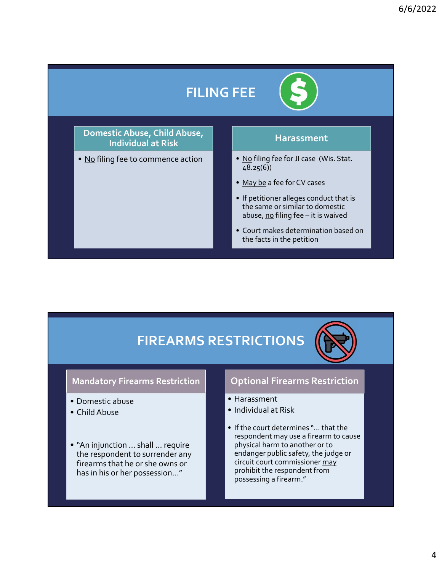# FILING FEE

# Domestic Abuse, Child Abuse, Individual at Risk **FILING FEE**<br>
Domestic Abuse, Child Abuse,<br>
Individual at Risk<br>
• <u>No</u> filing fee to commence action<br>
• <u>May be</u> a fee for JI case (Wise a fee for CV cases<br>
• If petitioner alleges conduct<br>
the same or similar to dome

### **Harassment**

48.25(6))

- 
- $-$  FEE<br>  $\bullet$  Mo filing fee for JI case (Wis. Stat.<br>  $\frac{10}{48.25(6)}$ <br>  $\bullet$  May be a fee for CV cases<br>  $\bullet$  If petitioner alleges conduct that is<br>
the same or similar to domestic **EXECTS**<br> **EXECTS**<br> **EXECTS**<br> **EXECTS**<br> **EXECTS**<br> **EXECTS**<br> **EXECTS**<br> **P**<br> **EXECTS**<br> **P**<br> **EXECTS**<br> **P**<br> **EXECTS**<br> **P**<br> **EXECTS**<br> **P**<br> **EXECTS**<br> **P**<br> **EXECTS**<br> **P**<br> **EXECTS**<br> **P**<br> **EXECTS**<br> **P**<br> **EXECTS**<br> **P**<br> **EXECTS**<br> **• If performed alleges conduct that is<br>
• <u>No filing</u> fee for JI case (Wis. Stat.<br>
•**  $\frac{10 \text{ of } 8.25(6)}{48.25(6)}$ **<br>
•**  $\frac{Maybe}{2}$  **a fee for CV cases<br>
• If petitioner alleges conduct that is<br>
the same or similar to domest** the same or similar to domestic<br>abuse, <u>no</u> filing fee  $-$  it is waived EE<br> **EDERET CONTENTS CONTENTS CONTENTS (SET ALSO CONTENT)**<br>
Ago filing fee for CV cases<br>
If petitioner alleges conduct that is<br>
the same or similar to domestic<br>
abuse, <u>no</u> filing fee – it is waived<br>
Court makes determinat **FIFE**<br>
• No filing fee for JI case (Wis. Stat.<br>
48.25(6))<br>
• May be a fee for CV cases<br>
• If petitioner alleges conduct that is<br>
the same or similar to domestic<br>
• Court makes determination based on<br>
• Court makes determi
- the facts in the petition

# FIREARMS RESTRICTIONS

### Mandatory Firearms Restriction

- 
- 
- the respondent to surrender any firearms that he or she owns or has in his or her possession…"

### Optional Firearms Restriction

- 
- 
- Court makes determinitive facts in the petitic<br>
FIREARMS RESTRICTIONS<br>
Mandatory Firearms Restriction<br>
 Domestic abuse<br>
 Child Abuse<br>
 "An injunction ... shall ... require<br>
 "An injunction ... shall ... require<br>
 "A • Coordinates determinisment the facts in the petitic<br>
Mandatory Firearms Restriction<br>
• Domestic abuse<br>
• Child Abuse<br>
• Child Abuse<br>
• "An injunction ... shall ... require<br>
• "An injunction ... shall ... require<br>
• The c **FIREARMS RESTRICTIONS**<br>
Mandatory Firearms Restriction<br>
• Domestic abuse<br>
• Child Abuse<br>
• Child Abuse<br>
• "An injunction ... shall ... require<br>
• the respondent to surrender any<br>
firearms that he or she owns or<br>
firearms • Court makes determination based on<br>the facts in the petition<br>STRICTIONS<br>STRICTIONS<br>• Harassment<br>• Individual at Risk<br>• If the court determines "... that the<br>respondent may use a firearm to cause<br>physical harm to another • Court makes determination based on<br>the facts in the petition<br>Coptional Firearms Restriction<br>• Harassment<br>• Individual at Risk<br>• If the court determines "... that the<br>respondent may use a firearm to cause<br>physical harm to **STRICTIONS**<br> **Coptional Firearms Restriction**<br>
• Individual at Risk<br>
• If the court determines "... that the<br>
respondent may use a firearm to cause<br>
physical harm to another or to<br>
endanger public safety, the judge or<br>
ci respondent may use a firearm to cause physical harm to another or to endanger public safety, the judge or circuit court commissioner may prohibit the respondent from possessing a firearm."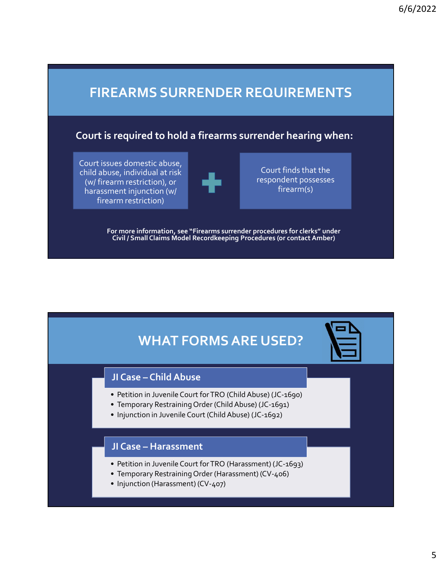# FIREARMS SURRENDER REQUIREMENTS

### Court is required to hold a firearms surrender hearing when:

Court issues domestic abuse, child abuse, individual at risk (w/ firearm restriction), or harassment injunction (w/ firearm restriction)

Court finds that the respondent possesses firearm(s)

For more information, see "Firearms surrender procedures for clerks" under Civil / Small Claims Model Recordkeeping Procedures (or contact Amber) or more information, see "Firearms surrender procedures for clerks" under<br>Civil / Small Claims Model Recordkeeping Procedures (or contact Amber)<br>
<br> **WHAT FORMS ARE USED?**<br>
JI Case – Child Abuse<br>
• Petition in Juvenile Cour or more information, see "Firearms surrender procedures for clerks" under<br>Civil / Small Claims Model Recordkeeping Procedures (or contact Amber)<br>
1 Case – Child Abuse<br>
• Petition in Juvenile Court for TRO (Child Abuse) (JC Irm restriction)<br>
or more information, see "Firearms surrender procedures for clerks" under<br>
Civil / Small Claims Model Record<br>
Recorder Procedures (or contact Amber)<br>
JJ Case – Child Abuse<br>
Petition in Juvenile Court for

# WHAT FORMS ARE USED? • Injunction in Juvenile Court for TRO (Child Abuse)<br>
JI Case – Child Abuse<br>
• Petition in Juvenile Court for TRO (Child Abuse) (JC-1690)<br>
• Temporary Restraining Order (Child Abuse) (JC-1691)<br>
• Injunction in Juvenile Cou WHAT FORMS ARE USED?<br>
JI Case – Child Abuse<br>
• Petition in Juvenile Court for TRO (Child Abuse) (JC-1690)<br>
• Temporary Restraining Order (Child Abuse) (JC-1691)<br>
• Injunction in Juvenile Court (Child Abuse) (JC-1692)<br>
JI C **• The Proper State Condition Condition Condition Condition Condition Condition Condition Condition Condition Condition Condition Condition Condition Condition Condition Condition Condition Condition Condition Condition Co** VHAT FORMS ARE USED?<br>
JI Case – Child Abuse<br>
• Petition in Juvenile Court for TRO (Child Abuse) (JC-1690)<br>
• Temporary Restraining Order (Child Abuse) (JC-1691)<br>
• Injunction in Juvenile Court (Child Abuse) (JC-1692)<br>
JI C WHAT FORMS ARE USED?<br>
JI Case – Child Abuse<br>
Petition in Juvenile Court for TRO (Child Abuse) (JC-1690)<br>
Temporary Restraining Order (Child Abuse) (JC-1691)<br>
I Injunction in Juvenile Court (Child Abuse) (JC-1692)<br>
JI Case

- 
- 
- 

- 
- 
-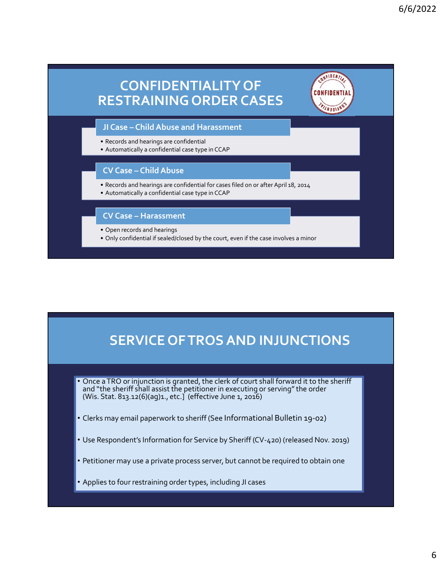![](_page_5_Figure_1.jpeg)

# SERVICE OF TROS AND INJUNCTIONS

- Once a TRO or injunction is granted, the clerk of court shall forward it to the sheriff and "the sheriff shall assist the petitioner in executing or serving" the order (Wis. Stat. 813.12(6)(ag)1., etc.] (effective June 1,
- Clerks may email paperwork to sheriff (See Informational Bulletin 19-02)
- Use Respondent's Information for Service by Sheriff (CV-420) (released Nov. 2019)
- Petitioner may use a private process server, but cannot be required to obtain one
- Applies to four restraining order types, including JI cases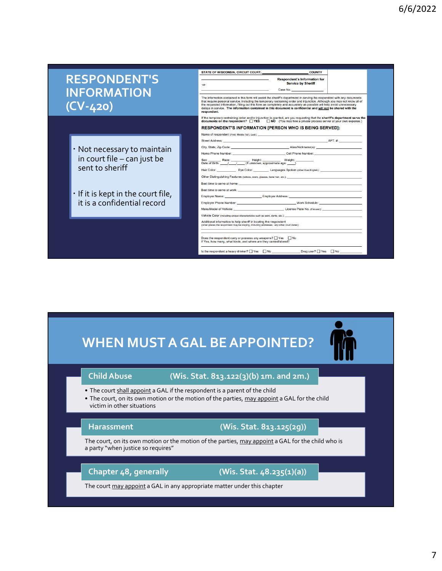## RESPONDENT'S INFORMATION (CV-420)

- Not necessary to maintain sent to sheriff
- If it is kept in the court file, it is a confidential record

|                                                                            | STATE OF WISCONSIN, CIRCUIT COURT,<br><b>COUNTY</b>                                                                                                                                                                                                                                                                                                                                                                                                                                                            |
|----------------------------------------------------------------------------|----------------------------------------------------------------------------------------------------------------------------------------------------------------------------------------------------------------------------------------------------------------------------------------------------------------------------------------------------------------------------------------------------------------------------------------------------------------------------------------------------------------|
| <b>SPONDENT'S</b>                                                          | Respondent's Information for<br><b>Service by Sheriff</b><br>$-VS-$                                                                                                                                                                                                                                                                                                                                                                                                                                            |
| <b>FORMATION</b>                                                           | Case No.                                                                                                                                                                                                                                                                                                                                                                                                                                                                                                       |
| <u>V-420)</u>                                                              | The information contained in this form will assist the sheriff's department in serving the respondent with any documents<br>that require personal service, including the temporary restraining order and injunction. Although you may not know all of<br>the requested information, filling out this form as completely and accurately as possible will help avoid unnecessary<br>delays in service. The information contained in this document is confidential and will not be shared with the<br>respondent. |
|                                                                            | If the temporary restraining order and/or injunction is granted, are you requesting that the sheriff's department serve the<br>documents on the respondent? TYES TINO (You may hire a private process server at your own expense.)                                                                                                                                                                                                                                                                             |
|                                                                            | <b>RESPONDENT'S INFORMATION [PERSON WHO IS BEING SERVED]:</b><br>Name of respondent (First, Middle (full), Last): ________________________________                                                                                                                                                                                                                                                                                                                                                             |
|                                                                            | APT. #:<br>Street Address: No. 1996. The Street Address:                                                                                                                                                                                                                                                                                                                                                                                                                                                       |
| Not necessary to maintain                                                  | Alias/Nickname(s):<br>City, State, Zip Code:<br>Cell Phone Number:<br>Home Phone Number:                                                                                                                                                                                                                                                                                                                                                                                                                       |
| in court file - can just be                                                | Sex: Race: Height: Veight: Veight: Date of Birth: / / / (If unknown, approximate age: )                                                                                                                                                                                                                                                                                                                                                                                                                        |
| sent to sheriff                                                            |                                                                                                                                                                                                                                                                                                                                                                                                                                                                                                                |
|                                                                            |                                                                                                                                                                                                                                                                                                                                                                                                                                                                                                                |
|                                                                            | Best time to serve at home:<br>Best time to serve at work: _______                                                                                                                                                                                                                                                                                                                                                                                                                                             |
| If it is kept in the court file,                                           | Employer Name: Employer Address: Employer Address:                                                                                                                                                                                                                                                                                                                                                                                                                                                             |
| it is a confidential record                                                | Employer Phone Number: Manual Communication of Manual Communication of Manual Communication of Manual Communication of Manual Communication of Manual Communication of Manual Communication of Manual Communication of Manual                                                                                                                                                                                                                                                                                  |
|                                                                            | Vehicle Color (including unique characteristics such as paint, dents, etc.):                                                                                                                                                                                                                                                                                                                                                                                                                                   |
|                                                                            | Additional information to help sheriff in locating the respondent<br>(other places the respondent may be staying, including addresses; any other court dates):                                                                                                                                                                                                                                                                                                                                                 |
|                                                                            |                                                                                                                                                                                                                                                                                                                                                                                                                                                                                                                |
|                                                                            | Does the respondent carry or possess any weapons? $\Box$ Yes $\Box$ No<br>If Yes, how many, what kinds, and where are they carried/stored?                                                                                                                                                                                                                                                                                                                                                                     |
|                                                                            | Is the respondent a heavy drinker? [ ] Yes [ ] No _______________________Drug user? [ ] Yes [ ] No __________                                                                                                                                                                                                                                                                                                                                                                                                  |
|                                                                            |                                                                                                                                                                                                                                                                                                                                                                                                                                                                                                                |
|                                                                            |                                                                                                                                                                                                                                                                                                                                                                                                                                                                                                                |
|                                                                            |                                                                                                                                                                                                                                                                                                                                                                                                                                                                                                                |
|                                                                            |                                                                                                                                                                                                                                                                                                                                                                                                                                                                                                                |
|                                                                            |                                                                                                                                                                                                                                                                                                                                                                                                                                                                                                                |
|                                                                            |                                                                                                                                                                                                                                                                                                                                                                                                                                                                                                                |
|                                                                            |                                                                                                                                                                                                                                                                                                                                                                                                                                                                                                                |
|                                                                            |                                                                                                                                                                                                                                                                                                                                                                                                                                                                                                                |
|                                                                            |                                                                                                                                                                                                                                                                                                                                                                                                                                                                                                                |
|                                                                            | <b>WHEN MUST A GAL BE APPOINTED?</b>                                                                                                                                                                                                                                                                                                                                                                                                                                                                           |
|                                                                            |                                                                                                                                                                                                                                                                                                                                                                                                                                                                                                                |
|                                                                            |                                                                                                                                                                                                                                                                                                                                                                                                                                                                                                                |
| <b>Child Abuse</b>                                                         | (Wis. Stat. 813.122(3)(b) 1m. and 2m.)                                                                                                                                                                                                                                                                                                                                                                                                                                                                         |
|                                                                            |                                                                                                                                                                                                                                                                                                                                                                                                                                                                                                                |
| . The court shall appoint a GAL if the respondent is a parent of the child | • The court, on its own motion or the motion of the parties, may appoint a GAL for the child                                                                                                                                                                                                                                                                                                                                                                                                                   |
| victim in other situations                                                 |                                                                                                                                                                                                                                                                                                                                                                                                                                                                                                                |
|                                                                            |                                                                                                                                                                                                                                                                                                                                                                                                                                                                                                                |
| <b>Harassment</b>                                                          | (Wis. Stat. 813.125(2g))                                                                                                                                                                                                                                                                                                                                                                                                                                                                                       |
|                                                                            |                                                                                                                                                                                                                                                                                                                                                                                                                                                                                                                |
|                                                                            | The court, on its own motion or the motion of the parties, may appoint a GAL for the child who is                                                                                                                                                                                                                                                                                                                                                                                                              |

# WHEN MUST A GAL BE APPOINTED?<br>
Child Abuse (Wis. Stat. 813.122(3)(b) 1m. and 2m.)<br>
The court, shall appoint a GAL for the respondent is a parent of the child<br>
The court, on its own motion or the motion of the parties, <u>may</u> WHEN MUST A GAL BE APPOINTED?<br>
Child Abuse (Wis. Stat. 813.122(3)(b) 1m. and 2m.)<br>
The court, on its own motion or the mespondent is a parent of the child<br>
victim in other situations<br>
Harassment (Wis. Stat. 813.125(29))<br>
T WHEN MUST A GAL BE APPOINTED?

### Child Abuse (Wis. Stat. 813.122(3)(b) 1m. and 2m.)

- 
- victim in other situations

### Harassment (Wis. Stat. 813.125(2g))

### Chapter 48, generally (Wis. Stat. 48.235(1)(a))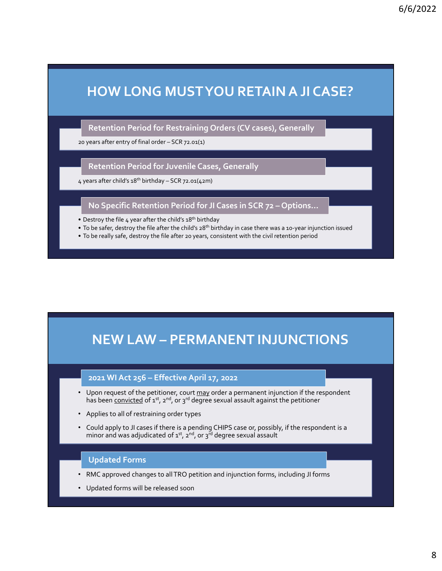# 6/<br>20 Years after entry of final order – SCR 72.01(1)<br>20 years after entry of final order – SCR 72.01(1)<br>20 years after child's 18<sup>th</sup> birthday – SCR 72.01(1)<br>4 years after child's 18<sup>th</sup> birthday – SCR 72.01(42m) 4 4 years after child's 18th birthday<br>
4 years after child state birthday<br>
4 years after child's 18th birthday – SCR 72.01(42m)<br>
4 years after child's 18th birthday – SCR 72.01(42m)<br>
4 years after child's 18th birthday – S • HOW LONG MUSTYOU RETAIN A JI CA<br>• Retention Period for Restraining Orders (CV cases), Generally<br>• 20 years after entry of final order – SCR 72.01(1)<br>• Retention Period for Juvenile Cases, Generally<br>• Vears after child's • To be safer, destroy the file after the child's 28<sup>0</sup> birthday<br>
• To be safer entry of final order – SCR 72.01(1)<br>
• To be safer child's 28<sup>0</sup> birthday – SCR 72.01(2)<br>
• To be safer, destroy the file after the filth si<sup>n</sup> • To be really safe, destroy the file after 20 years, consistent with the civil retention period for pure after after after and  $\alpha$  years, senerally<br>
• Retention Period for Juvenile Cases, Generally<br>
• A specific Retentio HOW LONG MUSTYOU RETAIN A JI CASE?<br>Retention Period for Restraining Orders (CV cases), Generally<br>reasafter entry of final order – SCR 72.01(1)<br>Retention Period for Juvenile Cases, Generally<br>as after child's 18<sup>8</sup> birthday 6/6/2022<br>HOW LONG MUST YOU RETAIN A JI CASE?<br>Retention Period for Restraining Orders (CV cases), Generally<br>Vears after entry of final order – SCR 72.01(1)

Retention Period for Restraining Orders (CV cases), Generally

### Retention Period for Juvenile Cases, Generally

- 
- 
- 

# Reter child's a8<sup>th</sup> birthday – SCR 72.01(42m)<br>
No Specific Retention Period for JI Cases in SCR 72 – Options...<br>
No Specific Retention Period so<sup>n</sup> birthday<br>
be safer, destroy the file defert the child's 28<sup>th</sup> birthday i

- Destroy the file 4 year after the child's a8<sup>to</sup> birthday<br>• To be safer, destroy the file after the child's 38<sup>to</sup> birthday in case there was a 10-year injunction issued<br>• To be really safe, destroy the file after 20 yea Fastroy the inter a tree church sa<sup>be</sup> intributed via case there was a so-year injunction issued<br> **has been** control to the file after the child's sa<sup>pe</sup> birthday in case there was a so-year injunction issued<br> **has been c** No Specific Retention Period for JI Cases in SCR 72 – Options...<br>
astroy the file a year after the child's a<sup>go</sup> birthday<br>
be safer, destroy the file after the child's a<sup>go</sup> birthday in case there was a 10-year injunction
- 
- Could apply to JI cases if there is a pending CHIPS case or, possibly, if the respondent is a minor and was adjudicated of  $1^{st}$ ,  $2^{nd}$ , or  $3^{rd}$  degree sexual assault

### Updated Forms

- RMC approved changes to all TRO petition and injunction forms, including JI forms
- Updated forms will be released soon